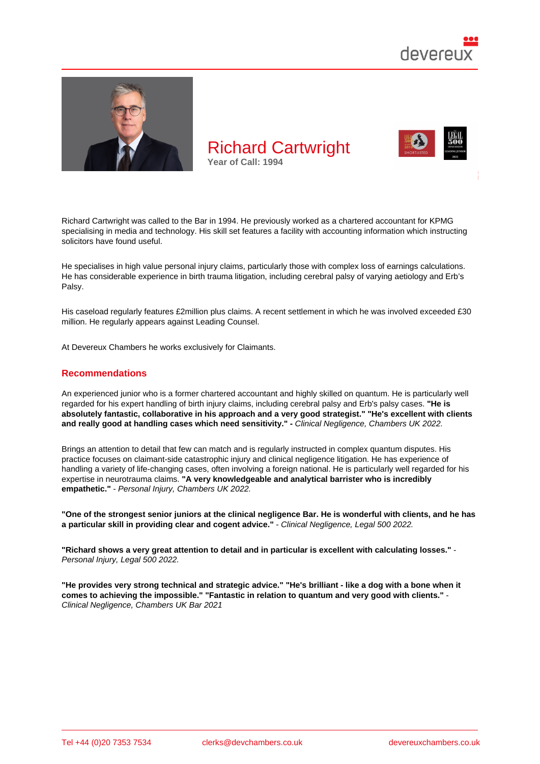

Richard Cartwright was called to the Bar in 1994. He previously worked as a chartered accountant for KPMG specialising in media and technology. His skill set features a facility with accounting information which instructing solicitors have found useful.

He specialises in high value personal injury claims, particularly those with complex loss of earnings calculations. He has considerable experience in birth trauma litigation, including cerebral palsy of varying aetiology and Erb's Palsy.

His caseload regularly features £2million plus claims. A recent settlement in which he was involved exceeded £30 million. He regularly appears against Leading Counsel.

At Devereux Chambers he works exclusively for Claimants.

### Recommendations

An experienced junior who is a former chartered accountant and highly skilled on quantum. He is particularly well regarded for his expert handling of birth injury claims, including cerebral palsy and Erb's palsy cases. "He is absolutely fantastic, collaborative in his approach and a very good strategist." "He's excellent with clients and really good at handling cases which need sensitivity." - Clinical Negligence, Chambers UK 2022.

Brings an attention to detail that few can match and is regularly instructed in complex quantum disputes. His practice focuses on claimant-side catastrophic injury and clinical negligence litigation. He has experience of handling a variety of life-changing cases, often involving a foreign national. He is particularly well regarded for his expertise in neurotrauma claims. "A very knowledgeable and analytical barrister who is incredibly empathetic." - Personal Injury, Chambers UK 2022.

"One of the strongest senior juniors at the clinical negligence Bar. He is wonderful with clients, and he has a particular skill in providing clear and cogent advice." - Clinical Negligence, Legal 500 2022.

"Richard shows a very great attention to detail and in particular is excellent with calculating losses." Personal Injury, Legal 500 2022.

"He provides very strong technical and strategic advice." "He's brilliant - like a dog with a bone when it comes to achieving the impossible." "Fantastic in relation to quantum and very good with clients." Clinical Negligence, Chambers UK Bar 2021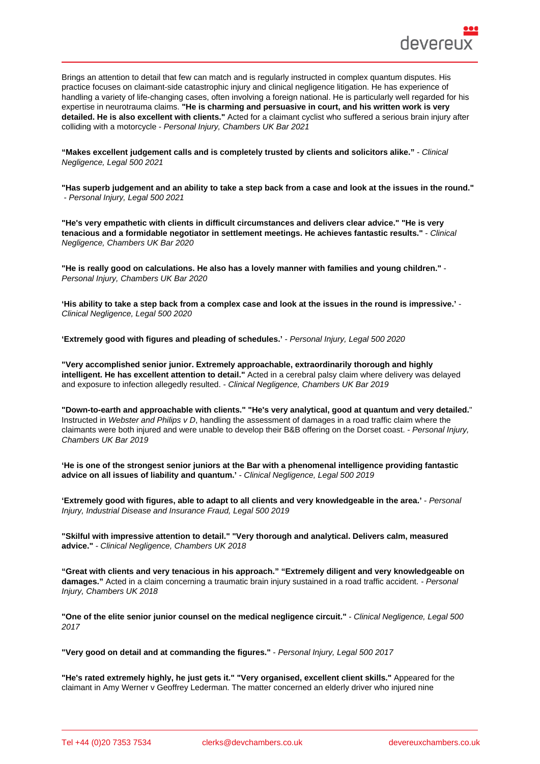| Brings an attention to detail that few can match and is regularly instructed in complex quantum disputes. His<br>practice focuses on claimant-side catastrophic injury and clinical negligence litigation. He has experience of<br>handling a variety of life-changing cases, often involving a foreign national. He is particularly well regarded for his<br>expertise in neurotrauma claims. "He is charming and persuasive in court, and his written work is very<br>Acted for a claimant cyclist who suffered a serious brain injury after<br>detailed. He is also excellent with clients."<br>colliding with a motorcycle - Personal Injury, Chambers UK Bar 2021 |
|------------------------------------------------------------------------------------------------------------------------------------------------------------------------------------------------------------------------------------------------------------------------------------------------------------------------------------------------------------------------------------------------------------------------------------------------------------------------------------------------------------------------------------------------------------------------------------------------------------------------------------------------------------------------|
| "Makes excellent judgement calls and is completely trusted by clients and solicitors alike."<br>- Clinical<br>Negligence, Legal 500 2021                                                                                                                                                                                                                                                                                                                                                                                                                                                                                                                               |
| "Has superb judgement and an ability to take a step back from a case and look at the issues in the round."<br>- Personal Injury, Legal 500 2021                                                                                                                                                                                                                                                                                                                                                                                                                                                                                                                        |
| "He's very empathetic with clients in difficult circumstances and delivers clear advice." "He is very<br>tenacious and a formidable negotiator in settlement meetings. He achieves fantastic results."<br>- Clinical<br>Negligence, Chambers UK Bar 2020                                                                                                                                                                                                                                                                                                                                                                                                               |
| "He is really good on calculations. He also has a lovely manner with families and young children."<br>Personal Injury, Chambers UK Bar 2020                                                                                                                                                                                                                                                                                                                                                                                                                                                                                                                            |
| 'His ability to take a step back from a complex case and look at the issues in the round is impressive.'<br>Clinical Negligence, Legal 500 2020                                                                                                                                                                                                                                                                                                                                                                                                                                                                                                                        |
| 'Extremely good with figures and pleading of schedules.'<br>- Personal Injury, Legal 500 2020                                                                                                                                                                                                                                                                                                                                                                                                                                                                                                                                                                          |
| "Very accomplished senior junior. Extremely approachable, extraordinarily thorough and highly<br>intelligent. He has excellent attention to detail."<br>Acted in a cerebral palsy claim where delivery was delayed<br>and exposure to infection allegedly resulted. - Clinical Negligence, Chambers UK Bar 2019                                                                                                                                                                                                                                                                                                                                                        |
| "Down-to-earth and approachable with clients." "He's very analytical, good at quantum and very detailed.<br>Instructed in Webster and Philips v D, handling the assessment of damages in a road traffic claim where the<br>claimants were both injured and were unable to develop their B&B offering on the Dorset coast. - Personal Injury,<br>Chambers UK Bar 2019                                                                                                                                                                                                                                                                                                   |
| He is one of the strongest senior juniors at the Bar with a phenomenal intelligence providing fantastic<br>- Clinical Negligence, Legal 500 2019<br>advice on all issues of liability and quantum.'                                                                                                                                                                                                                                                                                                                                                                                                                                                                    |
| 'Extremely good with figures, able to adapt to all clients and very knowledgeable in the area.'<br>- Personal<br>Injury, Industrial Disease and Insurance Fraud, Legal 500 2019                                                                                                                                                                                                                                                                                                                                                                                                                                                                                        |
| "Skilful with impressive attention to detail." "Very thorough and analytical. Delivers calm, measured<br>advice." - Clinical Negligence, Chambers UK 2018                                                                                                                                                                                                                                                                                                                                                                                                                                                                                                              |
| "Great with clients and very tenacious in his approach." "Extremely diligent and very knowledgeable on<br>damages." Acted in a claim concerning a traumatic brain injury sustained in a road traffic accident. - Personal<br>Injury, Chambers UK 2018                                                                                                                                                                                                                                                                                                                                                                                                                  |
| "One of the elite senior junior counsel on the medical negligence circuit."<br>- Clinical Negligence, Legal 500<br>2017                                                                                                                                                                                                                                                                                                                                                                                                                                                                                                                                                |

"Very good on detail and at commanding the figures." - Personal Injury, Legal 500 2017

"He's rated extremely highly, he just gets it." "Very organised, excellent client skills." Appeared for the claimant in Amy Werner v Geoffrey Lederman. The matter concerned an elderly driver who injured nine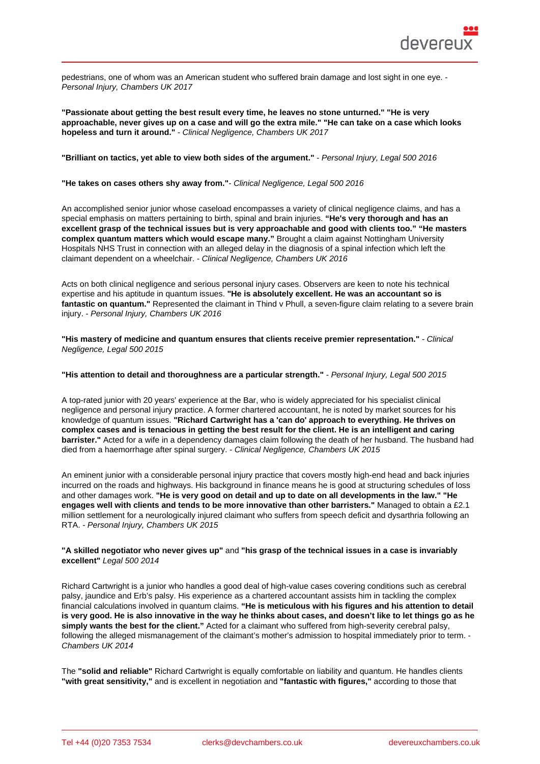pedestrians, one of whom was an American student who suffered brain damage and lost sight in one eye. - Personal Injury, Chambers UK 2017

"Passionate about getting the best result every time, he leaves no stone unturned." "He is very approachable, never gives up on a case and will go the extra mile." "He can take on a case which looks hopeless and turn it around." - Clinical Negligence, Chambers UK 2017

"Brilliant on tactics, yet able to view both sides of the argument." - Personal Injury, Legal 500 2016

"He takes on cases others shy away from." - Clinical Negligence, Legal 500 2016

An accomplished senior junior whose caseload encompasses a variety of clinical negligence claims, and has a special emphasis on matters pertaining to birth, spinal and brain injuries. "He's very thorough and has an excellent grasp of the technical issues but is very approachable and good with clients too." "He masters complex quantum matters which would escape many." Brought a claim against Nottingham University Hospitals NHS Trust in connection with an alleged delay in the diagnosis of a spinal infection which left the claimant dependent on a wheelchair. - Clinical Negligence, Chambers UK 2016

Acts on both clinical negligence and serious personal injury cases. Observers are keen to note his technical expertise and his aptitude in quantum issues. "He is absolutely excellent. He was an accountant so is fantastic on quantum." Represented the claimant in Thind v Phull, a seven-figure claim relating to a severe brain injury. - Personal Injury, Chambers UK 2016

"His mastery of medicine and quantum ensures that clients receive premier representation." - Clinical Negligence, Legal 500 2015

"His attention to detail and thoroughness are a particular strength." - Personal Injury, Legal 500 2015

A top-rated junior with 20 years' experience at the Bar, who is widely appreciated for his specialist clinical negligence and personal injury practice. A former chartered accountant, he is noted by market sources for his knowledge of quantum issues. "Richard Cartwright has a 'can do' approach to everything. He thrives on complex cases and is tenacious in getting the best result for the client. He is an intelligent and caring barrister." Acted for a wife in a dependency damages claim following the death of her husband. The husband had died from a haemorrhage after spinal surgery. - Clinical Negligence, Chambers UK 2015

An eminent junior with a considerable personal injury practice that covers mostly high-end head and back injuries incurred on the roads and highways. His background in finance means he is good at structuring schedules of loss and other damages work. "He is very good on detail and up to date on all developments in the law." "He engages well with clients and tends to be more innovative than other barristers." Managed to obtain a £2.1 million settlement for a neurologically injured claimant who suffers from speech deficit and dysarthria following an RTA. - Personal Injury, Chambers UK 2015

"A skilled negotiator who never gives up" and "his grasp of the technical issues in a case is invariably excellent" Legal 500 2014

Richard Cartwright is a junior who handles a good deal of high-value cases covering conditions such as cerebral palsy, jaundice and Erb's palsy. His experience as a chartered accountant assists him in tackling the complex financial calculations involved in quantum claims. "He is meticulous with his figures and his attention to detail is very good. He is also innovative in the way he thinks about cases, and doesn't like to let things go as he simply wants the best for the client." Acted for a claimant who suffered from high-severity cerebral palsy, following the alleged mismanagement of the claimant's mother's admission to hospital immediately prior to term. -Chambers UK 2014

The "solid and reliable" Richard Cartwright is equally comfortable on liability and quantum. He handles clients "with great sensitivity," and is excellent in negotiation and "fantastic with figures," according to those that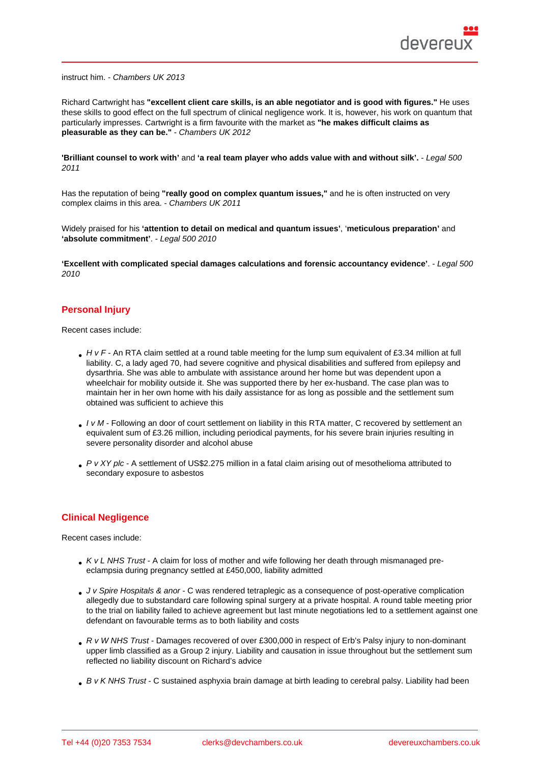instruct him. - Chambers UK 2013

Richard Cartwright has "excellent client care skills, is an able negotiator and is good with figures." He uses these skills to good effect on the full spectrum of clinical negligence work. It is, however, his work on quantum that particularly impresses. Cartwright is a firm favourite with the market as "he makes difficult claims as pleasurable as they can be." - Chambers UK 2012

'Brilliant counsel to work with' and 'a real team player who adds value with and without silk'. - Legal 500 2011

Has the reputation of being "really good on complex quantum issues," and he is often instructed on very complex claims in this area. - Chambers UK 2011

Widely praised for his 'attention to detail on medical and quantum issues', 'meticulous preparation' and 'absolute commitment' . - Legal 500 2010

'Excellent with complicated special damages calculations and forensic accountancy evidence' . - Legal 500 2010

# Personal Injury

Recent cases include:

- H v F An RTA claim settled at a round table meeting for the lump sum equivalent of £3.34 million at full liability. C, a lady aged 70, had severe cognitive and physical disabilities and suffered from epilepsy and dysarthria. She was able to ambulate with assistance around her home but was dependent upon a wheelchair for mobility outside it. She was supported there by her ex-husband. The case plan was to maintain her in her own home with his daily assistance for as long as possible and the settlement sum obtained was sufficient to achieve this
- I v M Following an door of court settlement on liability in this RTA matter, C recovered by settlement an equivalent sum of £3.26 million, including periodical payments, for his severe brain injuries resulting in severe personality disorder and alcohol abuse
- P v XY plc A settlement of US\$2.275 million in a fatal claim arising out of mesothelioma attributed to secondary exposure to asbestos

### Clinical Negligence

Recent cases include:

- K v L NHS Trust A claim for loss of mother and wife following her death through mismanaged preeclampsia during pregnancy settled at £450,000, liability admitted
- J v Spire Hospitals & anor C was rendered tetraplegic as a consequence of post-operative complication allegedly due to substandard care following spinal surgery at a private hospital. A round table meeting prior to the trial on liability failed to achieve agreement but last minute negotiations led to a settlement against one defendant on favourable terms as to both liability and costs
- R v W NHS Trust Damages recovered of over £300,000 in respect of Erb's Palsy injury to non-dominant upper limb classified as a Group 2 injury. Liability and causation in issue throughout but the settlement sum reflected no liability discount on Richard's advice
- B v K NHS Trust C sustained asphyxia brain damage at birth leading to cerebral palsy. Liability had been